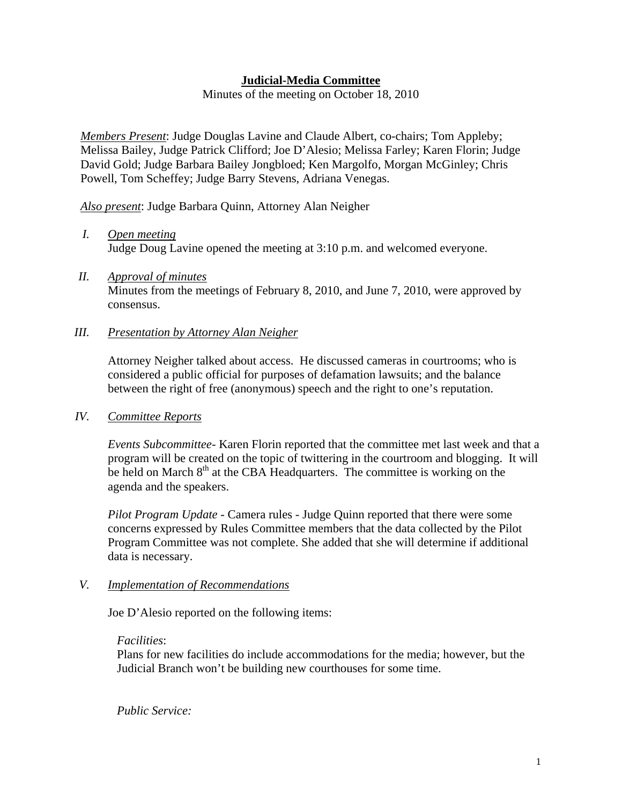# **Judicial-Media Committee**

Minutes of the meeting on October 18, 2010

*Members Present*: Judge Douglas Lavine and Claude Albert, co-chairs; Tom Appleby; Melissa Bailey, Judge Patrick Clifford; Joe D'Alesio; Melissa Farley; Karen Florin; Judge David Gold; Judge Barbara Bailey Jongbloed; Ken Margolfo, Morgan McGinley; Chris Powell, Tom Scheffey; Judge Barry Stevens, Adriana Venegas.

*Also present*: Judge Barbara Quinn, Attorney Alan Neigher

- *I. Open meeting* Judge Doug Lavine opened the meeting at 3:10 p.m. and welcomed everyone.
- *II. Approval of minutes* Minutes from the meetings of February 8, 2010, and June 7, 2010, were approved by consensus.

## *III. Presentation by Attorney Alan Neigher*

Attorney Neigher talked about access. He discussed cameras in courtrooms; who is considered a public official for purposes of defamation lawsuits; and the balance between the right of free (anonymous) speech and the right to one's reputation.

### *IV. Committee Reports*

*Events Subcommittee-* Karen Florin reported that the committee met last week and that a program will be created on the topic of twittering in the courtroom and blogging. It will be held on March  $8<sup>th</sup>$  at the CBA Headquarters. The committee is working on the agenda and the speakers.

*Pilot Program Update -* Camera rules - Judge Quinn reported that there were some concerns expressed by Rules Committee members that the data collected by the Pilot Program Committee was not complete. She added that she will determine if additional data is necessary.

### *V. Implementation of Recommendations*

Joe D'Alesio reported on the following items:

#### *Facilities*:

Plans for new facilities do include accommodations for the media; however, but the Judicial Branch won't be building new courthouses for some time.

*Public Service:*